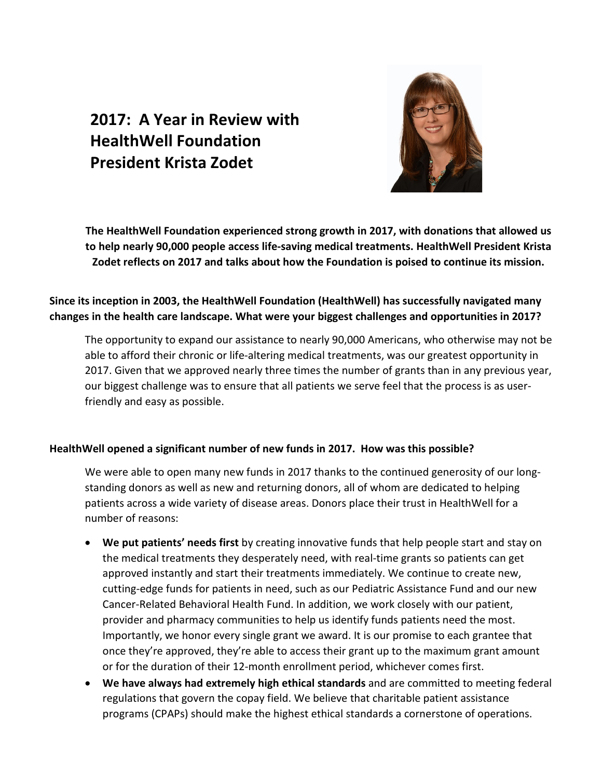# **2017: A Year in Review with HealthWell Foundation President Krista Zodet**



**The HealthWell Foundation experienced strong growth in 2017, with donations that allowed us to help nearly 90,000 people access life-saving medical treatments. HealthWell President Krista Zodet reflects on 2017 and talks about how the Foundation is poised to continue its mission.** 

## **Since its inception in 2003, the HealthWell Foundation (HealthWell) has successfully navigated many changes in the health care landscape. What were your biggest challenges and opportunities in 2017?**

The opportunity to expand our assistance to nearly 90,000 Americans, who otherwise may not be able to afford their chronic or life-altering medical treatments, was our greatest opportunity in 2017. Given that we approved nearly three times the number of grants than in any previous year, our biggest challenge was to ensure that all patients we serve feel that the process is as userfriendly and easy as possible.

### **HealthWell opened a significant number of new funds in 2017. How was this possible?**

We were able to open many new funds in 2017 thanks to the continued generosity of our longstanding donors as well as new and returning donors, all of whom are dedicated to helping patients across a wide variety of disease areas. Donors place their trust in HealthWell for a number of reasons:

- **We put patients' needs first** by creating innovative funds that help people start and stay on the medical treatments they desperately need, with real-time grants so patients can get approved instantly and start their treatments immediately. We continue to create new, cutting-edge funds for patients in need, such as our Pediatric Assistance Fund and our new Cancer-Related Behavioral Health Fund. In addition, we work closely with our patient, provider and pharmacy communities to help us identify funds patients need the most. Importantly, we honor every single grant we award. It is our promise to each grantee that once they're approved, they're able to access their grant up to the maximum grant amount or for the duration of their 12-month enrollment period, whichever comes first.
- **We have always had extremely high ethical standards** and are committed to meeting federal regulations that govern the copay field. We believe that charitable patient assistance programs (CPAPs) should make the highest ethical standards a cornerstone of operations.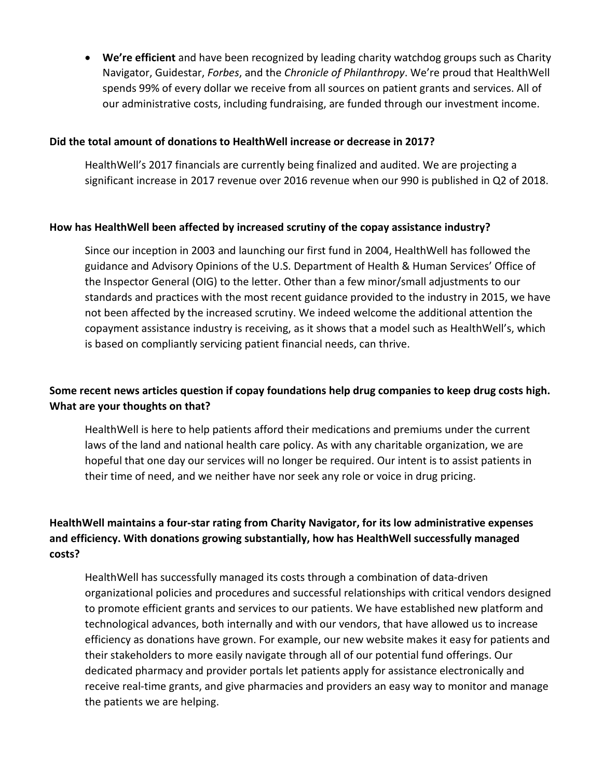• **We're efficient** and have been recognized by leading charity watchdog groups such as Charity Navigator, Guidestar, *Forbes*, and the *Chronicle of Philanthropy*. We're proud that HealthWell spends 99% of every dollar we receive from all sources on patient grants and services. All of our administrative costs, including fundraising, are funded through our investment income.

#### **Did the total amount of donations to HealthWell increase or decrease in 2017?**

HealthWell's 2017 financials are currently being finalized and audited. We are projecting a significant increase in 2017 revenue over 2016 revenue when our 990 is published in Q2 of 2018.

#### **How has HealthWell been affected by increased scrutiny of the copay assistance industry?**

Since our inception in 2003 and launching our first fund in 2004, HealthWell has followed the guidance and Advisory Opinions of the U.S. Department of Health & Human Services' Office of the Inspector General (OIG) to the letter. Other than a few minor/small adjustments to our standards and practices with the most recent guidance provided to the industry in 2015, we have not been affected by the increased scrutiny. We indeed welcome the additional attention the copayment assistance industry is receiving, as it shows that a model such as HealthWell's, which is based on compliantly servicing patient financial needs, can thrive.

## **Some recent news articles question if copay foundations help drug companies to keep drug costs high. What are your thoughts on that?**

HealthWell is here to help patients afford their medications and premiums under the current laws of the land and national health care policy. As with any charitable organization, we are hopeful that one day our services will no longer be required. Our intent is to assist patients in their time of need, and we neither have nor seek any role or voice in drug pricing.

## **HealthWell maintains a four-star rating from Charity Navigator, for its low administrative expenses and efficiency. With donations growing substantially, how has HealthWell successfully managed costs?**

HealthWell has successfully managed its costs through a combination of data-driven organizational policies and procedures and successful relationships with critical vendors designed to promote efficient grants and services to our patients. We have established new platform and technological advances, both internally and with our vendors, that have allowed us to increase efficiency as donations have grown. For example, our new website makes it easy for patients and their stakeholders to more easily navigate through all of our potential fund offerings. Our dedicated pharmacy and provider portals let patients apply for assistance electronically and receive real-time grants, and give pharmacies and providers an easy way to monitor and manage the patients we are helping.